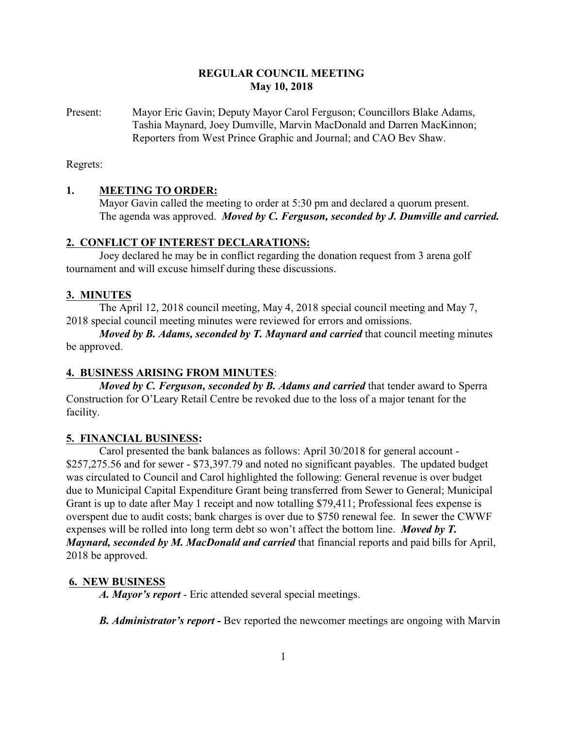# **REGULAR COUNCIL MEETING May 10, 2018**

Present: Mayor Eric Gavin; Deputy Mayor Carol Ferguson; Councillors Blake Adams, Tashia Maynard, Joey Dumville, Marvin MacDonald and Darren MacKinnon; Reporters from West Prince Graphic and Journal; and CAO Bev Shaw.

Regrets:

### **1. MEETING TO ORDER:**

Mayor Gavin called the meeting to order at 5:30 pm and declared a quorum present. The agenda was approved. *Moved by C. Ferguson, seconded by J. Dumville and carried.*

#### **2. CONFLICT OF INTEREST DECLARATIONS:**

Joey declared he may be in conflict regarding the donation request from 3 arena golf tournament and will excuse himself during these discussions.

### **3. MINUTES**

The April 12, 2018 council meeting, May 4, 2018 special council meeting and May 7, 2018 special council meeting minutes were reviewed for errors and omissions.

*Moved by B. Adams, seconded by T. Maynard and carried* that council meeting minutes be approved.

## **4. BUSINESS ARISING FROM MINUTES**:

*Moved by C. Ferguson, seconded by B. Adams and carried that tender award to Sperra* Construction for O'Leary Retail Centre be revoked due to the loss of a major tenant for the facility.

#### **5. FINANCIAL BUSINESS:**

Carol presented the bank balances as follows: April 30/2018 for general account - \$257,275.56 and for sewer - \$73,397.79 and noted no significant payables. The updated budget was circulated to Council and Carol highlighted the following: General revenue is over budget due to Municipal Capital Expenditure Grant being transferred from Sewer to General; Municipal Grant is up to date after May 1 receipt and now totalling \$79,411; Professional fees expense is overspent due to audit costs; bank charges is over due to \$750 renewal fee. In sewer the CWWF expenses will be rolled into long term debt so won't affect the bottom line. *Moved by T. Maynard, seconded by M. MacDonald and carried* that financial reports and paid bills for April, 2018 be approved.

#### **6. NEW BUSINESS**

*A. Mayor's report* - Eric attended several special meetings.

*B. Administrator's report -* Bev reported the newcomer meetings are ongoing with Marvin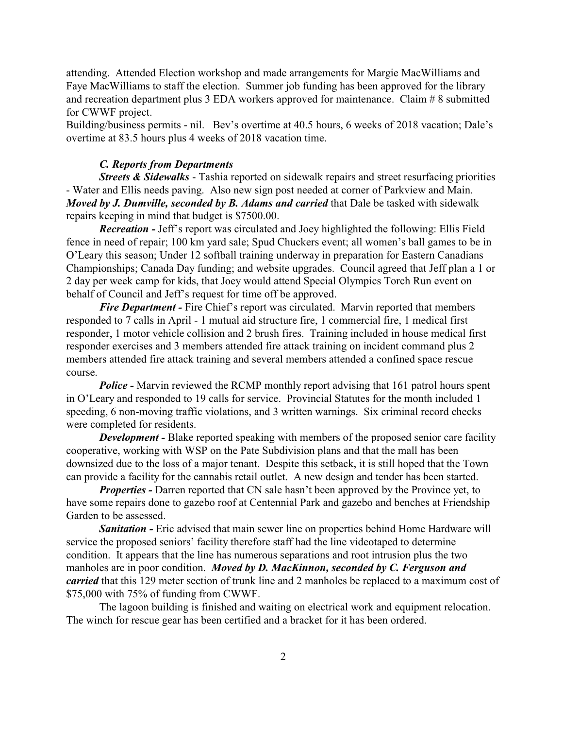attending. Attended Election workshop and made arrangements for Margie MacWilliams and Faye MacWilliams to staff the election. Summer job funding has been approved for the library and recreation department plus 3 EDA workers approved for maintenance. Claim # 8 submitted for CWWF project.

Building/business permits - nil. Bev's overtime at 40.5 hours, 6 weeks of 2018 vacation; Dale's overtime at 83.5 hours plus 4 weeks of 2018 vacation time.

### *C. Reports from Departments*

*Streets & Sidewalks* - Tashia reported on sidewalk repairs and street resurfacing priorities - Water and Ellis needs paving. Also new sign post needed at corner of Parkview and Main. *Moved by J. Dumville, seconded by B. Adams and carried that Dale be tasked with sidewalk* repairs keeping in mind that budget is \$7500.00.

*Recreation -* Jeff's report was circulated and Joey highlighted the following: Ellis Field fence in need of repair; 100 km yard sale; Spud Chuckers event; all women's ball games to be in O'Leary this season; Under 12 softball training underway in preparation for Eastern Canadians Championships; Canada Day funding; and website upgrades. Council agreed that Jeff plan a 1 or 2 day per week camp for kids, that Joey would attend Special Olympics Torch Run event on behalf of Council and Jeff's request for time off be approved.

*Fire Department* - Fire Chief's report was circulated. Marvin reported that members responded to 7 calls in April - 1 mutual aid structure fire, 1 commercial fire, 1 medical first responder, 1 motor vehicle collision and 2 brush fires. Training included in house medical first responder exercises and 3 members attended fire attack training on incident command plus 2 members attended fire attack training and several members attended a confined space rescue course.

*Police* - Marvin reviewed the RCMP monthly report advising that 161 patrol hours spent in O'Leary and responded to 19 calls for service. Provincial Statutes for the month included 1 speeding, 6 non-moving traffic violations, and 3 written warnings. Six criminal record checks were completed for residents.

*Development* - Blake reported speaking with members of the proposed senior care facility cooperative, working with WSP on the Pate Subdivision plans and that the mall has been downsized due to the loss of a major tenant. Despite this setback, it is still hoped that the Town can provide a facility for the cannabis retail outlet. A new design and tender has been started.

*Properties* - Darren reported that CN sale hasn't been approved by the Province yet, to have some repairs done to gazebo roof at Centennial Park and gazebo and benches at Friendship Garden to be assessed.

**Sanitation -** Eric advised that main sewer line on properties behind Home Hardware will service the proposed seniors' facility therefore staff had the line videotaped to determine condition. It appears that the line has numerous separations and root intrusion plus the two manholes are in poor condition. *Moved by D. MacKinnon, seconded by C. Ferguson and carried* that this 129 meter section of trunk line and 2 manholes be replaced to a maximum cost of \$75,000 with 75% of funding from CWWF.

The lagoon building is finished and waiting on electrical work and equipment relocation. The winch for rescue gear has been certified and a bracket for it has been ordered.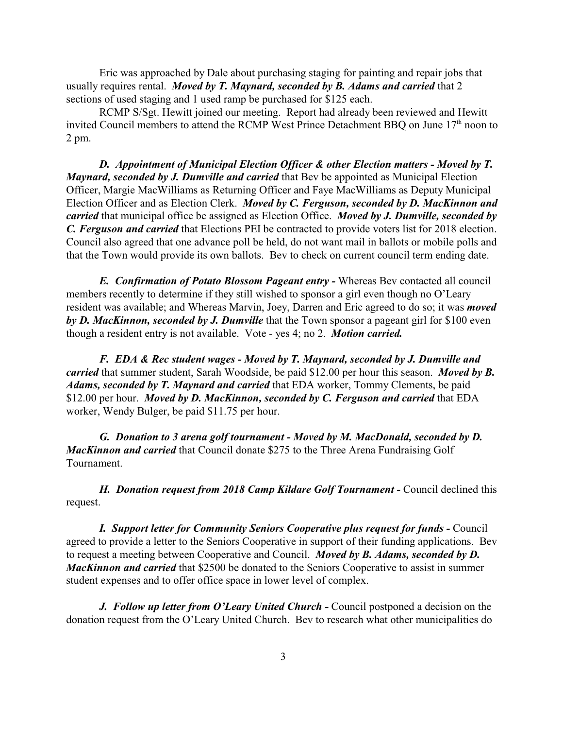Eric was approached by Dale about purchasing staging for painting and repair jobs that usually requires rental. *Moved by T. Maynard, seconded by B. Adams and carried* that 2 sections of used staging and 1 used ramp be purchased for \$125 each.

RCMP S/Sgt. Hewitt joined our meeting. Report had already been reviewed and Hewitt invited Council members to attend the RCMP West Prince Detachment BBQ on June  $17<sup>th</sup>$  noon to 2 pm.

*D. Appointment of Municipal Election Officer & other Election matters - Moved by T. Maynard, seconded by J. Dumville and carried* that Bev be appointed as Municipal Election Officer, Margie MacWilliams as Returning Officer and Faye MacWilliams as Deputy Municipal Election Officer and as Election Clerk. *Moved by C. Ferguson, seconded by D. MacKinnon and carried* that municipal office be assigned as Election Office. *Moved by J. Dumville, seconded by C. Ferguson and carried* that Elections PEI be contracted to provide voters list for 2018 election. Council also agreed that one advance poll be held, do not want mail in ballots or mobile polls and that the Town would provide its own ballots. Bev to check on current council term ending date.

*E. Confirmation of Potato Blossom Pageant entry -* Whereas Bev contacted all council members recently to determine if they still wished to sponsor a girl even though no O'Leary resident was available; and Whereas Marvin, Joey, Darren and Eric agreed to do so; it was *moved by D. MacKinnon, seconded by J. Dumville* that the Town sponsor a pageant girl for \$100 even though a resident entry is not available. Vote - yes 4; no 2. *Motion carried.*

*F. EDA & Rec student wages - Moved by T. Maynard, seconded by J. Dumville and carried* that summer student, Sarah Woodside, be paid \$12.00 per hour this season. *Moved by B. Adams, seconded by T. Maynard and carried* that EDA worker, Tommy Clements, be paid \$12.00 per hour. *Moved by D. MacKinnon, seconded by C. Ferguson and carried* that EDA worker, Wendy Bulger, be paid \$11.75 per hour.

*G. Donation to 3 arena golf tournament - Moved by M. MacDonald, seconded by D. MacKinnon and carried* that Council donate \$275 to the Three Arena Fundraising Golf Tournament.

**H. Donation request from 2018 Camp Kildare Golf Tournament - Council declined this** request.

*I. Support letter for Community Seniors Cooperative plus request for funds - Council* agreed to provide a letter to the Seniors Cooperative in support of their funding applications. Bev to request a meeting between Cooperative and Council. *Moved by B. Adams, seconded by D. MacKinnon and carried* that \$2500 be donated to the Seniors Cooperative to assist in summer student expenses and to offer office space in lower level of complex.

*J. Follow up letter from O'Leary United Church - Council postponed a decision on the* donation request from the O'Leary United Church. Bev to research what other municipalities do